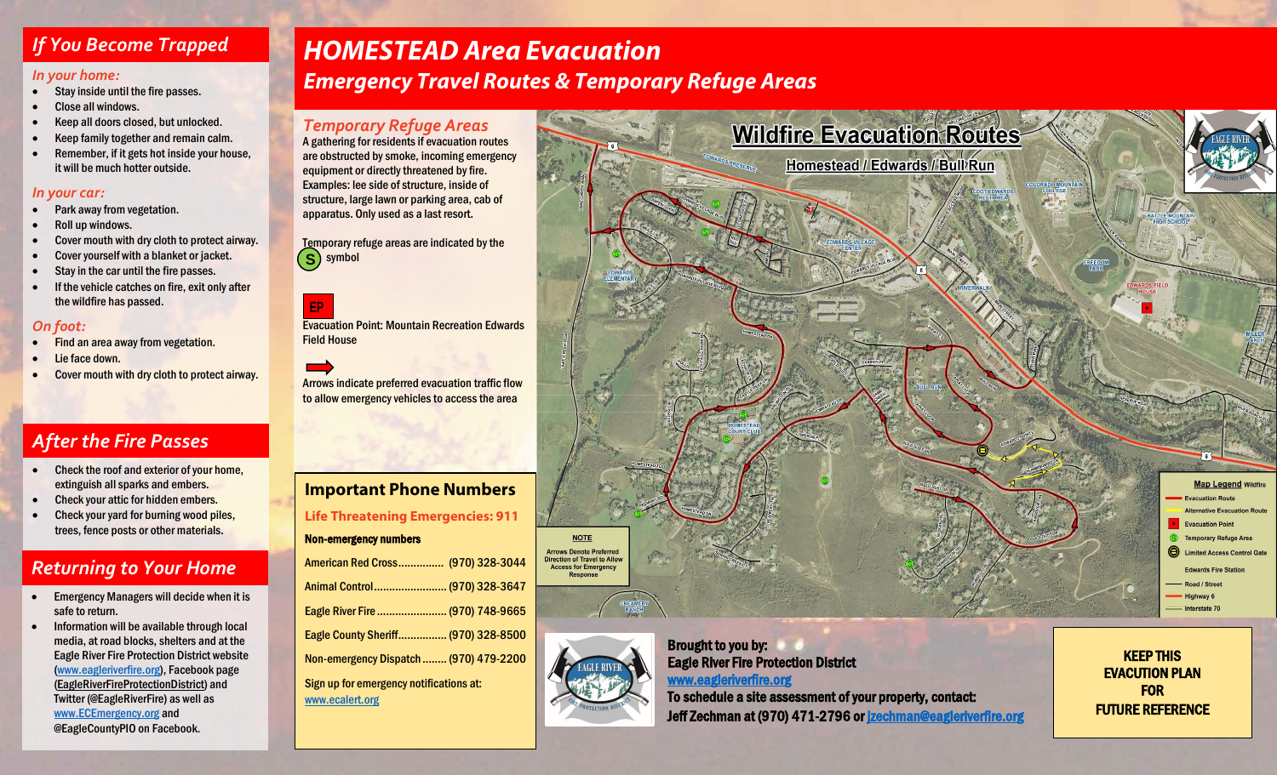### *If You Become Trapped*

### *In your home:*

- Stay inside until the fire passes.
- Close all windows.
- Keep all doors closed, but unlocked.
- Keep family together and remain calm.
- Remember, if it gets hot inside your house, it will be much hotter outside.

### *In your car:*

- Park away from vegetation.
- Roll up windows.
- Cover mouth with dry cloth to protect airway.
- Cover yourself with a blanket or jacket.
- Stay in the car until the fire passes.
- If the vehicle catches on fire, exit only after the wildfire has passed.

### *On foot:*

- Find an area away from vegetation.
- Lie face down.
- Cover mouth with dry cloth to protect airway.

## *After the Fire Passes*

- Check the roof and exterior of your home, extinguish all sparks and embers.
- Check your attic for hidden embers.
- Check your yard for burning wood piles, trees, fence posts or other materials.

## *Returning to Your Home*

- Emergency Managers will decide when it is safe to return.
- Information will be available through local media, at road blocks, shelters and at the Eagle River Fire Protection District website [\(www.eagleriverfire.org\),](http://www.eagleriverfire.org/) Facebook page [\(EagleRiverFireProtectionDistrict\)](http://www.facebook.com/EagleRiverFireProtectionDistrict) and Twitter (@EagleRiverFire) as well as [www.ECEmergency.org](http://www.ecemergency.org/) and @EagleCountyPIO on Facebook.

# *HOMESTEAD Area Evacuation*

*Emergency Travel Routes & Temporary Refuge Areas*

### *Temporary Refuge Areas*

A gathering for residents if evacuation routes are obstructed by smoke, incoming emergency equipment or directly threatened by fire. Examples: lee side of structure, inside of structure, large lawn or parking area, cab of apparatus. Only used as a last resort.

Temporary refuge areas are indicated by the symbol **S**

### **EP**

Evacuation Point: Mountain Recreation Edwards Field House

Arrows indicate preferred evacuation traffic flow to allow emergency vehicles to access the area

# **Important Phone Numbers**

**Life Threatening Emergencies: 911**

### Non-emergency numbers

| American Red Cross (970) 328-3044      |  |
|----------------------------------------|--|
| Animal Control (970) 328-3647          |  |
| Eagle River Fire  (970) 748-9665       |  |
| Eagle County Sheriff (970) 328-8500    |  |
| Non-emergency Dispatch  (970) 479-2200 |  |
|                                        |  |

Sign up for emergency notifications at: [www.ecalert.org](http://www.ecalert.org/)



KEEP THIS EVACUTION PLAN FOR FUTURE REFERENCE



Brought to you by: Eagle River Fire Protection District [www.eagleriverfire.org](http://www.eagleriverfire.org/)  To schedule a site assessment of your property, contact:

Jeff Zechman at (970) 471-2796 or **jzechman@eagleriverfire.org**